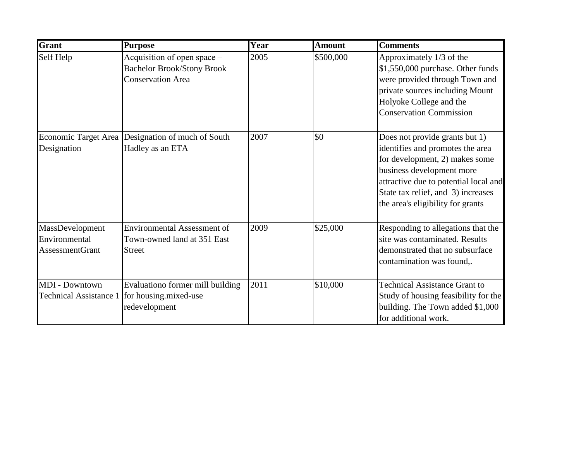| <b>Grant</b>                                               | <b>Purpose</b>                                                                               | Year | <b>Amount</b> | <b>Comments</b>                                                                                                                                                                                                                                       |
|------------------------------------------------------------|----------------------------------------------------------------------------------------------|------|---------------|-------------------------------------------------------------------------------------------------------------------------------------------------------------------------------------------------------------------------------------------------------|
| Self Help                                                  | Acquisition of open space –<br><b>Bachelor Brook/Stony Brook</b><br><b>Conservation Area</b> | 2005 | \$500,000     | Approximately 1/3 of the<br>\$1,550,000 purchase. Other funds<br>were provided through Town and<br>private sources including Mount<br>Holyoke College and the<br><b>Conservation Commission</b>                                                       |
| Designation                                                | Economic Target Area Designation of much of South<br>Hadley as an ETA                        | 2007 | \$0           | Does not provide grants but 1)<br>identifies and promotes the area<br>for development, 2) makes some<br>business development more<br>attractive due to potential local and<br>State tax relief, and 3) increases<br>the area's eligibility for grants |
| MassDevelopment<br>Environmental<br><b>AssessmentGrant</b> | <b>Environmental Assessment of</b><br>Town-owned land at 351 East<br><b>Street</b>           | 2009 | \$25,000      | Responding to allegations that the<br>site was contaminated. Results<br>demonstrated that no subsurface<br>contamination was found,.                                                                                                                  |
| <b>MDI</b> - Downtown<br><b>Technical Assistance 1</b>     | Evaluationo former mill building<br>for housing mixed-use<br>redevelopment                   | 2011 | \$10,000      | <b>Technical Assistance Grant to</b><br>Study of housing feasibility for the<br>building. The Town added \$1,000<br>for additional work.                                                                                                              |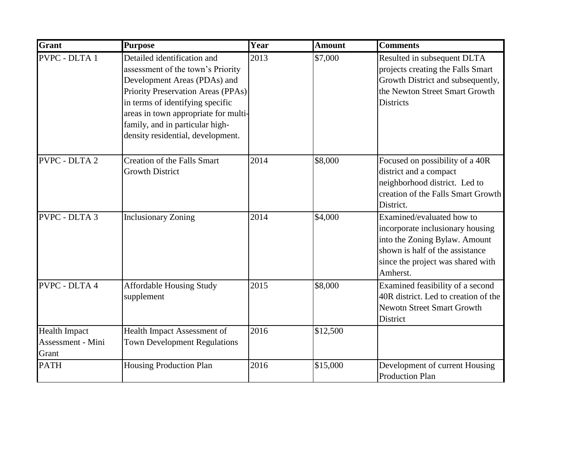| <b>Grant</b>                                       | <b>Purpose</b>                                                                                                                                                                                                                                                                             | Year | <b>Amount</b> | <b>Comments</b>                                                                                                                                                                    |
|----------------------------------------------------|--------------------------------------------------------------------------------------------------------------------------------------------------------------------------------------------------------------------------------------------------------------------------------------------|------|---------------|------------------------------------------------------------------------------------------------------------------------------------------------------------------------------------|
| <b>PVPC - DLTA 1</b>                               | Detailed identification and<br>assessment of the town's Priority<br>Development Areas (PDAs) and<br>Priority Preservation Areas (PPAs)<br>in terms of identifying specific<br>areas in town appropriate for multi-<br>family, and in particular high-<br>density residential, development. | 2013 | \$7,000       | Resulted in subsequent DLTA<br>projects creating the Falls Smart<br>Growth District and subsequently,<br>the Newton Street Smart Growth<br><b>Districts</b>                        |
| <b>PVPC - DLTA 2</b>                               | <b>Creation of the Falls Smart</b><br><b>Growth District</b>                                                                                                                                                                                                                               | 2014 | \$8,000       | Focused on possibility of a 40R<br>district and a compact<br>neighborhood district. Led to<br>creation of the Falls Smart Growth<br>District.                                      |
| <b>PVPC - DLTA 3</b>                               | <b>Inclusionary Zoning</b>                                                                                                                                                                                                                                                                 | 2014 | \$4,000       | Examined/evaluated how to<br>incorporate inclusionary housing<br>into the Zoning Bylaw. Amount<br>shown is half of the assistance<br>since the project was shared with<br>Amherst. |
| <b>PVPC - DLTA 4</b>                               | <b>Affordable Housing Study</b><br>supplement                                                                                                                                                                                                                                              | 2015 | \$8,000       | Examined feasibility of a second<br>40R district. Led to creation of the<br><b>Newotn Street Smart Growth</b><br>District                                                          |
| <b>Health Impact</b><br>Assessment - Mini<br>Grant | Health Impact Assessment of<br><b>Town Development Regulations</b>                                                                                                                                                                                                                         | 2016 | \$12,500      |                                                                                                                                                                                    |
| <b>PATH</b>                                        | Housing Production Plan                                                                                                                                                                                                                                                                    | 2016 | \$15,000      | Development of current Housing<br><b>Production Plan</b>                                                                                                                           |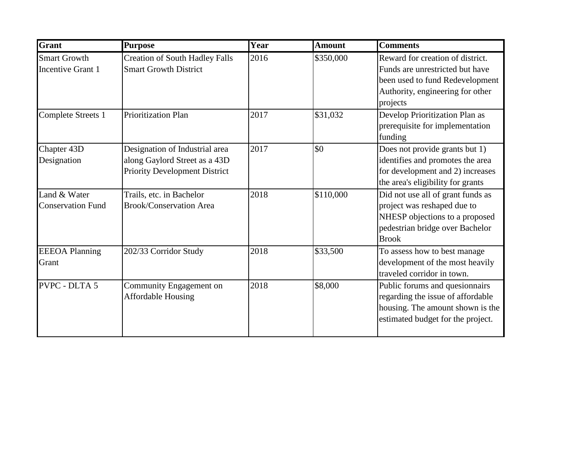| Grant                                           | <b>Purpose</b>                                                                                          | Year | <b>Amount</b> | <b>Comments</b>                                                                                                                                        |
|-------------------------------------------------|---------------------------------------------------------------------------------------------------------|------|---------------|--------------------------------------------------------------------------------------------------------------------------------------------------------|
| <b>Smart Growth</b><br><b>Incentive Grant 1</b> | <b>Creation of South Hadley Falls</b><br><b>Smart Growth District</b>                                   | 2016 | \$350,000     | Reward for creation of district.<br>Funds are unrestricted but have<br>been used to fund Redevelopment<br>Authority, engineering for other<br>projects |
| Complete Streets 1                              | <b>Prioritization Plan</b>                                                                              | 2017 | \$31,032      | Develop Prioritization Plan as<br>prerequisite for implementation<br>funding                                                                           |
| Chapter 43D<br>Designation                      | Designation of Industrial area<br>along Gaylord Street as a 43D<br><b>Priority Development District</b> | 2017 | \$0           | Does not provide grants but 1)<br>identifies and promotes the area<br>for development and 2) increases<br>the area's eligibility for grants            |
| Land & Water<br><b>Conservation Fund</b>        | Trails, etc. in Bachelor<br><b>Brook/Conservation Area</b>                                              | 2018 | \$110,000     | Did not use all of grant funds as<br>project was reshaped due to<br>NHESP objections to a proposed<br>pedestrian bridge over Bachelor<br><b>Brook</b>  |
| <b>EEEOA Planning</b><br>Grant                  | 202/33 Corridor Study                                                                                   | 2018 | \$33,500      | To assess how to best manage<br>development of the most heavily<br>traveled corridor in town.                                                          |
| <b>PVPC - DLTA 5</b>                            | Community Engagement on<br><b>Affordable Housing</b>                                                    | 2018 | \$8,000       | Public forums and quesionnairs<br>regarding the issue of affordable<br>housing. The amount shown is the<br>estimated budget for the project.           |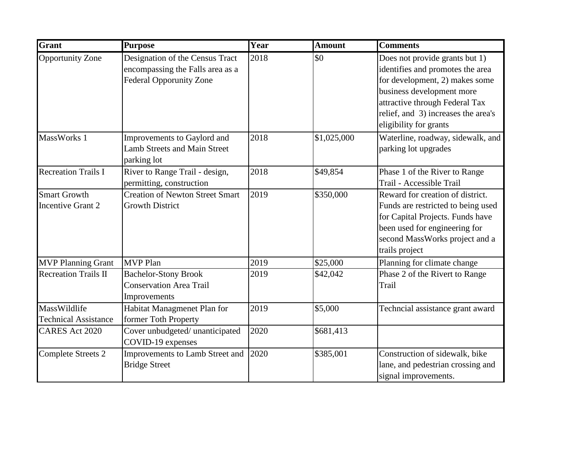| Grant                                           | <b>Purpose</b>                                                                                        | Year | <b>Amount</b> | <b>Comments</b>                                                                                                                                                                                                                      |
|-------------------------------------------------|-------------------------------------------------------------------------------------------------------|------|---------------|--------------------------------------------------------------------------------------------------------------------------------------------------------------------------------------------------------------------------------------|
| <b>Opportunity Zone</b>                         | Designation of the Census Tract<br>encompassing the Falls area as a<br><b>Federal Opporunity Zone</b> | 2018 | \$0           | Does not provide grants but 1)<br>identifies and promotes the area<br>for development, 2) makes some<br>business development more<br>attractive through Federal Tax<br>relief, and 3) increases the area's<br>eligibility for grants |
| MassWorks 1                                     | Improvements to Gaylord and<br><b>Lamb Streets and Main Street</b><br>parking lot                     | 2018 | \$1,025,000   | Waterline, roadway, sidewalk, and<br>parking lot upgrades                                                                                                                                                                            |
| <b>Recreation Trails I</b>                      | River to Range Trail - design,<br>permitting, construction                                            | 2018 | \$49,854      | Phase 1 of the River to Range<br>Trail - Accessible Trail                                                                                                                                                                            |
| <b>Smart Growth</b><br><b>Incentive Grant 2</b> | <b>Creation of Newton Street Smart</b><br><b>Growth District</b>                                      | 2019 | \$350,000     | Reward for creation of district.<br>Funds are restricted to being used<br>for Capital Projects. Funds have<br>been used for engineering for<br>second MassWorks project and a<br>trails project                                      |
| <b>MVP Planning Grant</b>                       | <b>MVP</b> Plan                                                                                       | 2019 | \$25,000      | Planning for climate change                                                                                                                                                                                                          |
| <b>Recreation Trails II</b>                     | <b>Bachelor-Stony Brook</b><br><b>Conservation Area Trail</b><br>Improvements                         | 2019 | \$42,042      | Phase 2 of the Rivert to Range<br>Trail                                                                                                                                                                                              |
| MassWildlife<br><b>Technical Assistance</b>     | Habitat Managmenet Plan for<br>former Toth Property                                                   | 2019 | \$5,000       | Techncial assistance grant award                                                                                                                                                                                                     |
| <b>CARES Act 2020</b>                           | Cover unbudgeted/ unanticipated<br>COVID-19 expenses                                                  | 2020 | \$681,413     |                                                                                                                                                                                                                                      |
| <b>Complete Streets 2</b>                       | Improvements to Lamb Street and<br><b>Bridge Street</b>                                               | 2020 | \$385,001     | Construction of sidewalk, bike<br>lane, and pedestrian crossing and<br>signal improvements.                                                                                                                                          |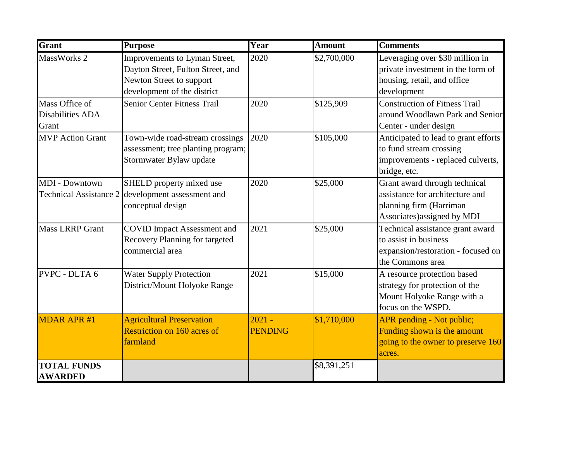| Grant                                                  | <b>Purpose</b>                                                                                                                | Year                       | <b>Amount</b> | <b>Comments</b>                                                                                                            |
|--------------------------------------------------------|-------------------------------------------------------------------------------------------------------------------------------|----------------------------|---------------|----------------------------------------------------------------------------------------------------------------------------|
| MassWorks 2                                            | Improvements to Lyman Street,<br>Dayton Street, Fulton Street, and<br>Newton Street to support<br>development of the district | 2020                       | \$2,700,000   | Leveraging over \$30 million in<br>private investment in the form of<br>housing, retail, and office<br>development         |
| Mass Office of<br>Disabilities ADA<br>Grant            | <b>Senior Center Fitness Trail</b>                                                                                            | 2020                       | \$125,909     | <b>Construction of Fitness Trail</b><br>around Woodlawn Park and Senior<br>Center - under design                           |
| <b>MVP</b> Action Grant                                | Town-wide road-stream crossings<br>assessment; tree planting program;<br>Stormwater Bylaw update                              | 2020                       | \$105,000     | Anticipated to lead to grant efforts<br>to fund stream crossing<br>improvements - replaced culverts,<br>bridge, etc.       |
| <b>MDI</b> - Downtown<br><b>Technical Assistance 2</b> | SHELD property mixed use<br>development assessment and<br>conceptual design                                                   | 2020                       | \$25,000      | Grant award through technical<br>assistance for architecture and<br>planning firm (Harriman<br>Associates) assigned by MDI |
| <b>Mass LRRP Grant</b>                                 | <b>COVID Impact Assessment and</b><br>Recovery Planning for targeted<br>commercial area                                       | 2021                       | \$25,000      | Technical assistance grant award<br>to assist in business<br>expansion/restoration - focused on<br>the Commons area        |
| PVPC - DLTA 6                                          | <b>Water Supply Protection</b><br>District/Mount Holyoke Range                                                                | 2021                       | \$15,000      | A resource protection based<br>strategy for protection of the<br>Mount Holyoke Range with a<br>focus on the WSPD.          |
| <b>MDAR APR#1</b>                                      | <b>Agricultural Preservation</b><br>Restriction on 160 acres of<br>farmland                                                   | $2021 -$<br><b>PENDING</b> | \$1,710,000   | APR pending - Not public;<br>Funding shown is the amount<br>going to the owner to preserve 160<br>acres.                   |
| <b>TOTAL FUNDS</b><br><b>AWARDED</b>                   |                                                                                                                               |                            | \$8,391,251   |                                                                                                                            |